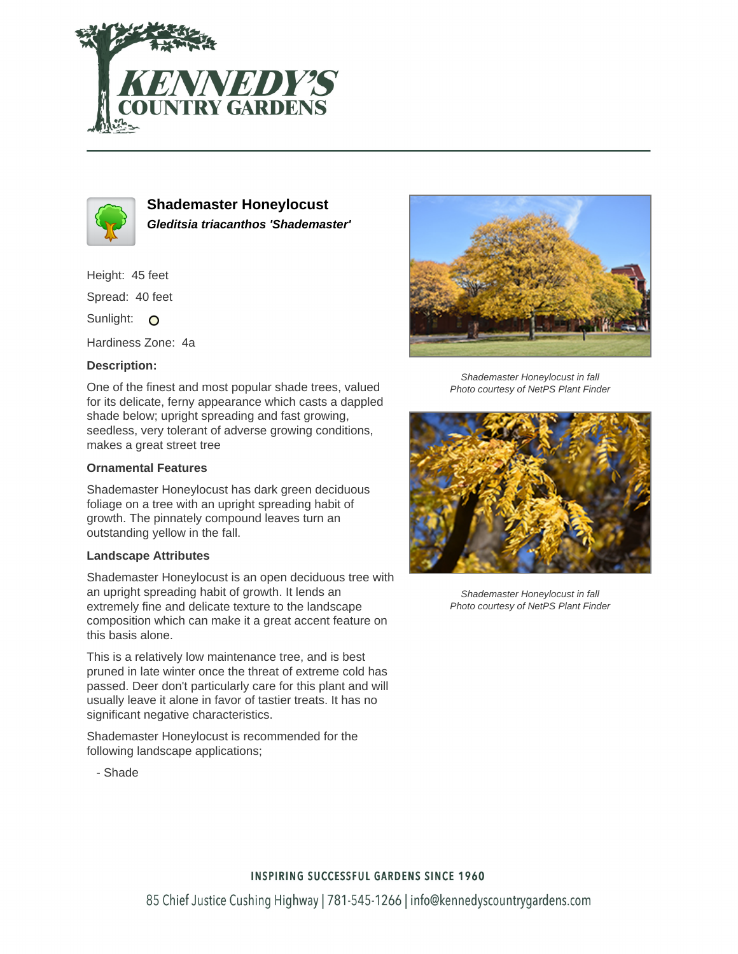



**Shademaster Honeylocust Gleditsia triacanthos 'Shademaster'**

Height: 45 feet

Spread: 40 feet

Sunlight: O

Hardiness Zone: 4a

## **Description:**

One of the finest and most popular shade trees, valued for its delicate, ferny appearance which casts a dappled shade below; upright spreading and fast growing, seedless, very tolerant of adverse growing conditions, makes a great street tree

### **Ornamental Features**

Shademaster Honeylocust has dark green deciduous foliage on a tree with an upright spreading habit of growth. The pinnately compound leaves turn an outstanding yellow in the fall.

### **Landscape Attributes**

Shademaster Honeylocust is an open deciduous tree with an upright spreading habit of growth. It lends an extremely fine and delicate texture to the landscape composition which can make it a great accent feature on this basis alone.

This is a relatively low maintenance tree, and is best pruned in late winter once the threat of extreme cold has passed. Deer don't particularly care for this plant and will usually leave it alone in favor of tastier treats. It has no significant negative characteristics.

Shademaster Honeylocust is recommended for the following landscape applications;





Shademaster Honeylocust in fall Photo courtesy of NetPS Plant Finder



Shademaster Honeylocust in fall Photo courtesy of NetPS Plant Finder

### **INSPIRING SUCCESSFUL GARDENS SINCE 1960**